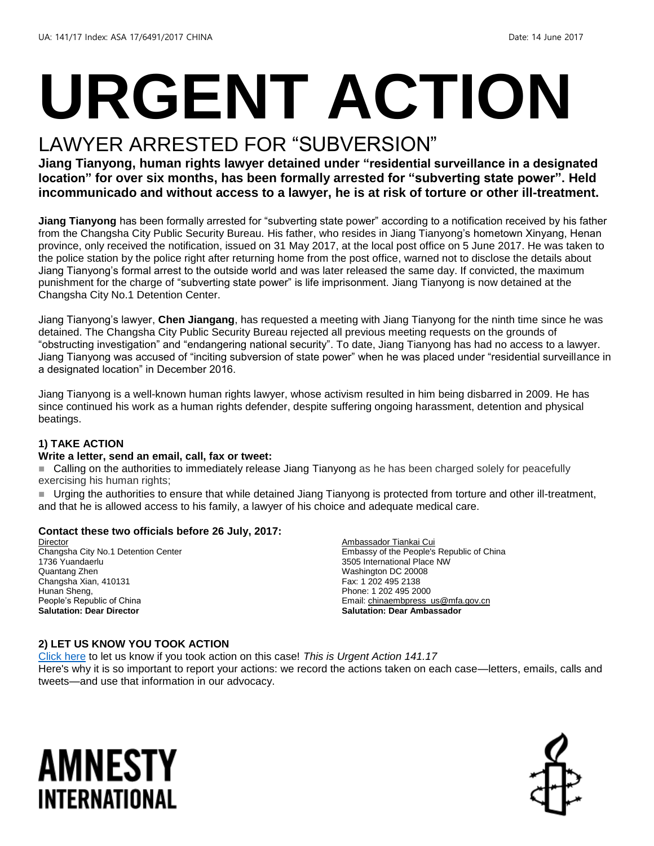# **URGENT ACTION**

## LAWYER ARRESTED FOR "SUBVERSION"

**Jiang Tianyong, human rights lawyer detained under "residential surveillance in a designated location" for over six months, has been formally arrested for "subverting state power". Held incommunicado and without access to a lawyer, he is at risk of torture or other ill-treatment.** 

**Jiang Tianyong** has been formally arrested for "subverting state power" according to a notification received by his father from the Changsha City Public Security Bureau. His father, who resides in Jiang Tianyong's hometown Xinyang, Henan province, only received the notification, issued on 31 May 2017, at the local post office on 5 June 2017. He was taken to the police station by the police right after returning home from the post office, warned not to disclose the details about Jiang Tianyong's formal arrest to the outside world and was later released the same day. If convicted, the maximum punishment for the charge of "subverting state power" is life imprisonment. Jiang Tianyong is now detained at the Changsha City No.1 Detention Center.

Jiang Tianyong's lawyer, **Chen Jiangang**, has requested a meeting with Jiang Tianyong for the ninth time since he was detained. The Changsha City Public Security Bureau rejected all previous meeting requests on the grounds of "obstructing investigation" and "endangering national security". To date, Jiang Tianyong has had no access to a lawyer. Jiang Tianyong was accused of "inciting subversion of state power" when he was placed under "residential surveillance in a designated location" in December 2016.

Jiang Tianyong is a well-known human rights lawyer, whose activism resulted in him being disbarred in 2009. He has since continued his work as a human rights defender, despite suffering ongoing harassment, detention and physical beatings.

#### **1) TAKE ACTION**

#### **Write a letter, send an email, call, fax or tweet:**

■ Calling on the authorities to immediately release Jiang Tianyong as he has been charged solely for peacefully exercising his human rights;

 Urging the authorities to ensure that while detained Jiang Tianyong is protected from torture and other ill-treatment, and that he is allowed access to his family, a lawyer of his choice and adequate medical care.

#### **Contact these two officials before 26 July, 2017:**

Director Changsha City No.1 Detention Center 1736 Yuandaerlu Quantang Zhen Changsha Xian, 410131 Hunan Sheng, People's Republic of China **Salutation: Dear Director**

Ambassador Tiankai Cui Embassy of the People's Republic of China 3505 International Place NW Washington DC 20008 Fax: 1 202 495 2138 Phone: 1 202 495 2000 Email[: chinaembpress\\_us@mfa.gov.cn](mailto:chinaembpress_us@mfa.gov.cn) **Salutation: Dear Ambassador**

#### **2) LET US KNOW YOU TOOK ACTION**

[Click here](https://docs.google.com/forms/d/e/1FAIpQLSf3RUspces4lA9Gt7Fp9GiAcojCs6fnfFOTCLli3Su6c3S8ew/viewform) to let us know if you took action on this case! *This is Urgent Action 141.17* Here's why it is so important to report your actions: we record the actions taken on each case—letters, emails, calls and tweets—and use that information in our advocacy.